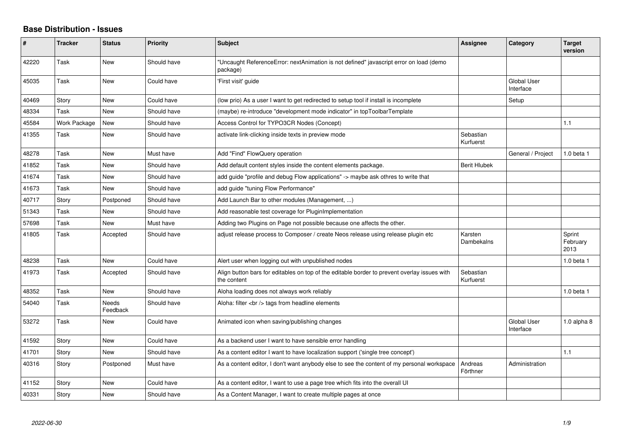## **Base Distribution - Issues**

| #     | <b>Tracker</b> | <b>Status</b>            | <b>Priority</b> | <b>Subject</b>                                                                                              | Assignee               | Category                        | <b>Target</b><br>version   |
|-------|----------------|--------------------------|-----------------|-------------------------------------------------------------------------------------------------------------|------------------------|---------------------------------|----------------------------|
| 42220 | Task           | <b>New</b>               | Should have     | "Uncaught ReferenceError: nextAnimation is not defined" javascript error on load (demo<br>package)          |                        |                                 |                            |
| 45035 | Task           | <b>New</b>               | Could have      | 'First visit' guide                                                                                         |                        | Global User<br>Interface        |                            |
| 40469 | Story          | <b>New</b>               | Could have      | (low prio) As a user I want to get redirected to setup tool if install is incomplete                        |                        | Setup                           |                            |
| 48334 | Task           | <b>New</b>               | Should have     | (maybe) re-introduce "development mode indicator" in topToolbarTemplate                                     |                        |                                 |                            |
| 45584 | Work Package   | <b>New</b>               | Should have     | Access Control for TYPO3CR Nodes (Concept)                                                                  |                        |                                 | 1.1                        |
| 41355 | Task           | <b>New</b>               | Should have     | activate link-clicking inside texts in preview mode                                                         | Sebastian<br>Kurfuerst |                                 |                            |
| 48278 | Task           | <b>New</b>               | Must have       | Add "Find" FlowQuery operation                                                                              |                        | General / Project               | 1.0 beta 1                 |
| 41852 | Task           | New                      | Should have     | Add default content styles inside the content elements package.                                             | <b>Berit Hlubek</b>    |                                 |                            |
| 41674 | Task           | <b>New</b>               | Should have     | add guide "profile and debug Flow applications" -> maybe ask othres to write that                           |                        |                                 |                            |
| 41673 | Task           | <b>New</b>               | Should have     | add guide "tuning Flow Performance"                                                                         |                        |                                 |                            |
| 40717 | Story          | Postponed                | Should have     | Add Launch Bar to other modules (Management, )                                                              |                        |                                 |                            |
| 51343 | Task           | <b>New</b>               | Should have     | Add reasonable test coverage for PluginImplementation                                                       |                        |                                 |                            |
| 57698 | Task           | <b>New</b>               | Must have       | Adding two Plugins on Page not possible because one affects the other.                                      |                        |                                 |                            |
| 41805 | Task           | Accepted                 | Should have     | adjust release process to Composer / create Neos release using release plugin etc                           | Karsten<br>Dambekalns  |                                 | Sprint<br>February<br>2013 |
| 48238 | Task           | <b>New</b>               | Could have      | Alert user when logging out with unpublished nodes                                                          |                        |                                 | $1.0$ beta $1$             |
| 41973 | Task           | Accepted                 | Should have     | Align button bars for editables on top of the editable border to prevent overlay issues with<br>the content | Sebastian<br>Kurfuerst |                                 |                            |
| 48352 | Task           | <b>New</b>               | Should have     | Aloha loading does not always work reliably                                                                 |                        |                                 | $1.0$ beta $1$             |
| 54040 | Task           | <b>Needs</b><br>Feedback | Should have     | Aloha: filter $\langle$ br $/$ tags from headline elements                                                  |                        |                                 |                            |
| 53272 | Task           | <b>New</b>               | Could have      | Animated icon when saving/publishing changes                                                                |                        | <b>Global User</b><br>Interface | $1.0$ alpha $8$            |
| 41592 | Story          | <b>New</b>               | Could have      | As a backend user I want to have sensible error handling                                                    |                        |                                 |                            |
| 41701 | Story          | <b>New</b>               | Should have     | As a content editor I want to have localization support ('single tree concept')                             |                        |                                 | 1.1                        |
| 40316 | Story          | Postponed                | Must have       | As a content editor, I don't want anybody else to see the content of my personal workspace                  | Andreas<br>Förthner    | Administration                  |                            |
| 41152 | Story          | New                      | Could have      | As a content editor, I want to use a page tree which fits into the overall UI                               |                        |                                 |                            |
| 40331 | Story          | <b>New</b>               | Should have     | As a Content Manager, I want to create multiple pages at once                                               |                        |                                 |                            |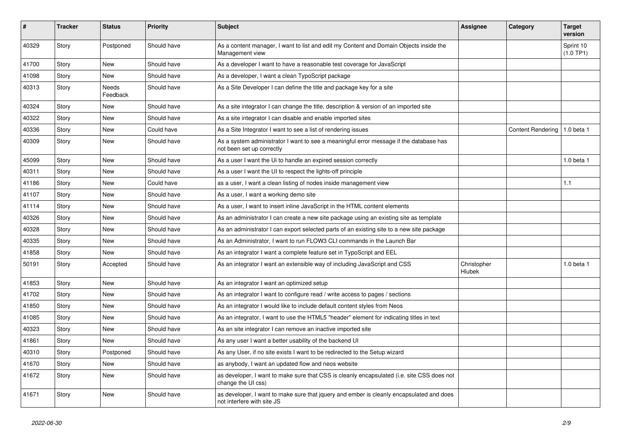| #     | <b>Tracker</b> | <b>Status</b>     | <b>Priority</b> | <b>Subject</b>                                                                                                         | Assignee                     | Category                       | <b>Target</b><br>version |
|-------|----------------|-------------------|-----------------|------------------------------------------------------------------------------------------------------------------------|------------------------------|--------------------------------|--------------------------|
| 40329 | Story          | Postponed         | Should have     | As a content manager, I want to list and edit my Content and Domain Objects inside the<br>Management view              |                              |                                | Sprint 10<br>(1.0 TP1)   |
| 41700 | Story          | <b>New</b>        | Should have     | As a developer I want to have a reasonable test coverage for JavaScript                                                |                              |                                |                          |
| 41098 | Story          | New               | Should have     | As a developer, I want a clean TypoScript package                                                                      |                              |                                |                          |
| 40313 | Story          | Needs<br>Feedback | Should have     | As a Site Developer I can define the title and package key for a site                                                  |                              |                                |                          |
| 40324 | Story          | <b>New</b>        | Should have     | As a site integrator I can change the title, description & version of an imported site                                 |                              |                                |                          |
| 40322 | Story          | <b>New</b>        | Should have     | As a site integrator I can disable and enable imported sites                                                           |                              |                                |                          |
| 40336 | Story          | New               | Could have      | As a Site Integrator I want to see a list of rendering issues                                                          |                              | Content Rendering   1.0 beta 1 |                          |
| 40309 | Story          | <b>New</b>        | Should have     | As a system administrator I want to see a meaningful error message if the database has<br>not been set up correctly    |                              |                                |                          |
| 45099 | Story          | New               | Should have     | As a user I want the Ui to handle an expired session correctly                                                         |                              |                                | 1.0 beta 1               |
| 40311 | Story          | <b>New</b>        | Should have     | As a user I want the UI to respect the lights-off principle                                                            |                              |                                |                          |
| 41186 | Story          | <b>New</b>        | Could have      | as a user, I want a clean listing of nodes inside management view                                                      |                              |                                | 1.1                      |
| 41107 | Story          | New               | Should have     | As a user, I want a working demo site                                                                                  |                              |                                |                          |
| 41114 | Story          | New               | Should have     | As a user, I want to insert inline JavaScript in the HTML content elements                                             |                              |                                |                          |
| 40326 | Story          | New               | Should have     | As an administrator I can create a new site package using an existing site as template                                 |                              |                                |                          |
| 40328 | Story          | New               | Should have     | As an administrator I can export selected parts of an existing site to a new site package                              |                              |                                |                          |
| 40335 | Story          | New               | Should have     | As an Administrator, I want to run FLOW3 CLI commands in the Launch Bar                                                |                              |                                |                          |
| 41858 | Story          | New               | Should have     | As an integrator I want a complete feature set in TypoScript and EEL                                                   |                              |                                |                          |
| 50191 | Story          | Accepted          | Should have     | As an integrator I want an extensible way of including JavaScript and CSS                                              | Christopher<br><b>Hlubek</b> |                                | 1.0 beta 1               |
| 41853 | Story          | <b>New</b>        | Should have     | As an integrator I want an optimized setup                                                                             |                              |                                |                          |
| 41702 | Story          | <b>New</b>        | Should have     | As an integrator I want to configure read / write access to pages / sections                                           |                              |                                |                          |
| 41850 | Story          | <b>New</b>        | Should have     | As an integrator I would like to include default content styles from Neos                                              |                              |                                |                          |
| 41085 | Story          | <b>New</b>        | Should have     | As an integrator, I want to use the HTML5 "header" element for indicating titles in text                               |                              |                                |                          |
| 40323 | Story          | <b>New</b>        | Should have     | As an site integrator I can remove an inactive imported site                                                           |                              |                                |                          |
| 41861 | Story          | New               | Should have     | As any user I want a better usability of the backend UI                                                                |                              |                                |                          |
| 40310 | Story          | Postponed         | Should have     | As any User, if no site exists I want to be redirected to the Setup wizard                                             |                              |                                |                          |
| 41670 | Story          | <b>New</b>        | Should have     | as anybody, I want an updated flow and neos website                                                                    |                              |                                |                          |
| 41672 | Story          | <b>New</b>        | Should have     | as developer, I want to make sure that CSS is cleanly encapsulated (i.e. site CSS does not<br>change the UI css)       |                              |                                |                          |
| 41671 | Story          | <b>New</b>        | Should have     | as developer, I want to make sure that jquery and ember is cleanly encapsulated and does<br>not interfere with site JS |                              |                                |                          |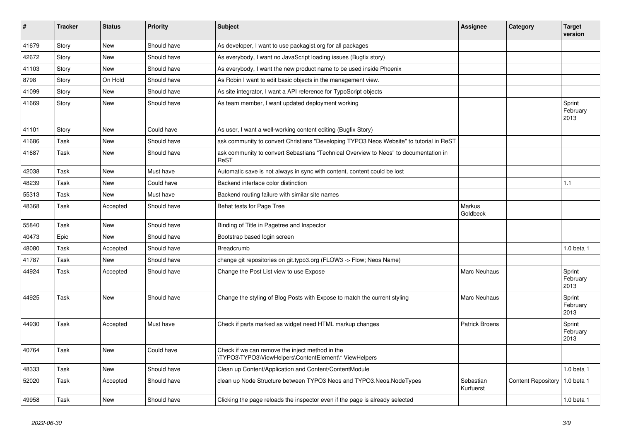| $\vert$ # | <b>Tracker</b> | <b>Status</b> | <b>Priority</b> | <b>Subject</b>                                                                                           | Assignee               | Category                  | <b>Target</b><br>version   |
|-----------|----------------|---------------|-----------------|----------------------------------------------------------------------------------------------------------|------------------------|---------------------------|----------------------------|
| 41679     | Story          | <b>New</b>    | Should have     | As developer, I want to use packagist.org for all packages                                               |                        |                           |                            |
| 42672     | Story          | <b>New</b>    | Should have     | As everybody, I want no JavaScript loading issues (Bugfix story)                                         |                        |                           |                            |
| 41103     | Story          | <b>New</b>    | Should have     | As everybody, I want the new product name to be used inside Phoenix                                      |                        |                           |                            |
| 8798      | Story          | On Hold       | Should have     | As Robin I want to edit basic objects in the management view.                                            |                        |                           |                            |
| 41099     | Story          | <b>New</b>    | Should have     | As site integrator, I want a API reference for TypoScript objects                                        |                        |                           |                            |
| 41669     | Story          | <b>New</b>    | Should have     | As team member, I want updated deployment working                                                        |                        |                           | Sprint<br>February<br>2013 |
| 41101     | Story          | New           | Could have      | As user, I want a well-working content editing (Bugfix Story)                                            |                        |                           |                            |
| 41686     | Task           | New           | Should have     | ask community to convert Christians "Developing TYPO3 Neos Website" to tutorial in ReST                  |                        |                           |                            |
| 41687     | Task           | <b>New</b>    | Should have     | ask community to convert Sebastians "Technical Overview to Neos" to documentation in<br>ReST             |                        |                           |                            |
| 42038     | Task           | <b>New</b>    | Must have       | Automatic save is not always in sync with content, content could be lost                                 |                        |                           |                            |
| 48239     | Task           | <b>New</b>    | Could have      | Backend interface color distinction                                                                      |                        |                           | 1.1                        |
| 55313     | Task           | <b>New</b>    | Must have       | Backend routing failure with similar site names                                                          |                        |                           |                            |
| 48368     | Task           | Accepted      | Should have     | Behat tests for Page Tree                                                                                | Markus<br>Goldbeck     |                           |                            |
| 55840     | Task           | <b>New</b>    | Should have     | Binding of Title in Pagetree and Inspector                                                               |                        |                           |                            |
| 40473     | Epic           | <b>New</b>    | Should have     | Bootstrap based login screen                                                                             |                        |                           |                            |
| 48080     | Task           | Accepted      | Should have     | Breadcrumb                                                                                               |                        |                           | $1.0$ beta $1$             |
| 41787     | Task           | New           | Should have     | change git repositories on git.typo3.org (FLOW3 -> Flow; Neos Name)                                      |                        |                           |                            |
| 44924     | Task           | Accepted      | Should have     | Change the Post List view to use Expose                                                                  | Marc Neuhaus           |                           | Sprint<br>February<br>2013 |
| 44925     | Task           | <b>New</b>    | Should have     | Change the styling of Blog Posts with Expose to match the current styling                                | <b>Marc Neuhaus</b>    |                           | Sprint<br>February<br>2013 |
| 44930     | Task           | Accepted      | Must have       | Check if parts marked as widget need HTML markup changes                                                 | <b>Patrick Broens</b>  |                           | Sprint<br>February<br>2013 |
| 40764     | Task           | New           | Could have      | Check if we can remove the inject method in the<br>\TYPO3\TYPO3\ViewHelpers\ContentElement\* ViewHelpers |                        |                           |                            |
| 48333     | Task           | <b>New</b>    | Should have     | Clean up Content/Application and Content/ContentModule                                                   |                        |                           | $1.0$ beta $1$             |
| 52020     | Task           | Accepted      | Should have     | clean up Node Structure between TYPO3 Neos and TYPO3. Neos. Node Types                                   | Sebastian<br>Kurfuerst | <b>Content Repository</b> | 1.0 beta 1                 |
| 49958     | Task           | New           | Should have     | Clicking the page reloads the inspector even if the page is already selected                             |                        |                           | $1.0$ beta $1$             |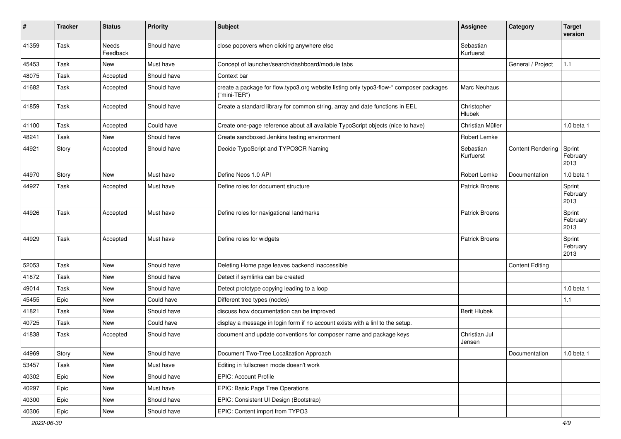| $\vert$ # | <b>Tracker</b> | <b>Status</b>     | <b>Priority</b> | <b>Subject</b>                                                                                          | <b>Assignee</b>         | Category                 | <b>Target</b><br>version   |
|-----------|----------------|-------------------|-----------------|---------------------------------------------------------------------------------------------------------|-------------------------|--------------------------|----------------------------|
| 41359     | Task           | Needs<br>Feedback | Should have     | close popovers when clicking anywhere else                                                              | Sebastian<br>Kurfuerst  |                          |                            |
| 45453     | Task           | New               | Must have       | Concept of launcher/search/dashboard/module tabs                                                        |                         | General / Project        | 1.1                        |
| 48075     | Task           | Accepted          | Should have     | Context bar                                                                                             |                         |                          |                            |
| 41682     | Task           | Accepted          | Should have     | create a package for flow typo3.org website listing only typo3-flow-* composer packages<br>("mini-TER") | Marc Neuhaus            |                          |                            |
| 41859     | Task           | Accepted          | Should have     | Create a standard library for common string, array and date functions in EEL                            | Christopher<br>Hlubek   |                          |                            |
| 41100     | Task           | Accepted          | Could have      | Create one-page reference about all available TypoScript objects (nice to have)                         | Christian Müller        |                          | $1.0$ beta $1$             |
| 48241     | Task           | <b>New</b>        | Should have     | Create sandboxed Jenkins testing environment                                                            | Robert Lemke            |                          |                            |
| 44921     | Story          | Accepted          | Should have     | Decide TypoScript and TYPO3CR Naming                                                                    | Sebastian<br>Kurfuerst  | <b>Content Rendering</b> | Sprint<br>February<br>2013 |
| 44970     | Story          | <b>New</b>        | Must have       | Define Neos 1.0 API                                                                                     | Robert Lemke            | Documentation            | 1.0 beta 1                 |
| 44927     | Task           | Accepted          | Must have       | Define roles for document structure                                                                     | <b>Patrick Broens</b>   |                          | Sprint<br>February<br>2013 |
| 44926     | Task           | Accepted          | Must have       | Define roles for navigational landmarks                                                                 | <b>Patrick Broens</b>   |                          | Sprint<br>February<br>2013 |
| 44929     | Task           | Accepted          | Must have       | Define roles for widgets                                                                                | <b>Patrick Broens</b>   |                          | Sprint<br>February<br>2013 |
| 52053     | Task           | <b>New</b>        | Should have     | Deleting Home page leaves backend inaccessible                                                          |                         | <b>Content Editing</b>   |                            |
| 41872     | Task           | <b>New</b>        | Should have     | Detect if symlinks can be created                                                                       |                         |                          |                            |
| 49014     | Task           | <b>New</b>        | Should have     | Detect prototype copying leading to a loop                                                              |                         |                          | 1.0 beta 1                 |
| 45455     | Epic           | New               | Could have      | Different tree types (nodes)                                                                            |                         |                          | 1.1                        |
| 41821     | Task           | <b>New</b>        | Should have     | discuss how documentation can be improved                                                               | <b>Berit Hlubek</b>     |                          |                            |
| 40725     | Task           | <b>New</b>        | Could have      | display a message in login form if no account exists with a linl to the setup.                          |                         |                          |                            |
| 41838     | Task           | Accepted          | Should have     | document and update conventions for composer name and package keys                                      | Christian Jul<br>Jensen |                          |                            |
| 44969     | Story          | New               | Should have     | Document Two-Tree Localization Approach                                                                 |                         | Documentation            | 1.0 beta 1                 |
| 53457     | Task           | New               | Must have       | Editing in fullscreen mode doesn't work                                                                 |                         |                          |                            |
| 40302     | Epic           | New               | Should have     | EPIC: Account Profile                                                                                   |                         |                          |                            |
| 40297     | Epic           | New               | Must have       | EPIC: Basic Page Tree Operations                                                                        |                         |                          |                            |
| 40300     | Epic           | New               | Should have     | EPIC: Consistent UI Design (Bootstrap)                                                                  |                         |                          |                            |
| 40306     | Epic           | New               | Should have     | EPIC: Content import from TYPO3                                                                         |                         |                          |                            |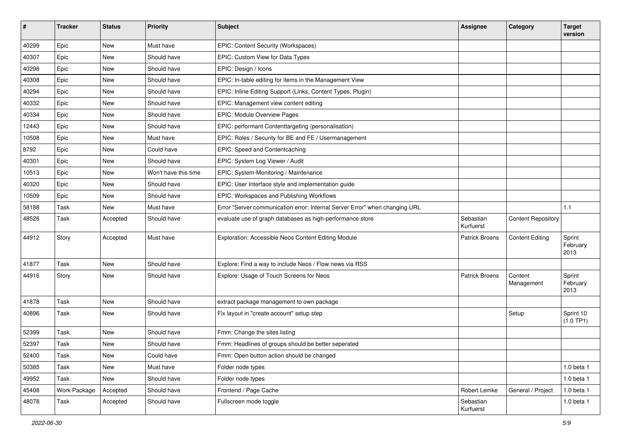| ∦     | <b>Tracker</b> | <b>Status</b> | <b>Priority</b>      | <b>Subject</b>                                                              | <b>Assignee</b>        | Category                  | <b>Target</b><br>version   |
|-------|----------------|---------------|----------------------|-----------------------------------------------------------------------------|------------------------|---------------------------|----------------------------|
| 40299 | Epic           | <b>New</b>    | Must have            | EPIC: Content Security (Workspaces)                                         |                        |                           |                            |
| 40307 | Epic           | New           | Should have          | EPIC: Custom View for Data Types                                            |                        |                           |                            |
| 40298 | Epic           | New           | Should have          | EPIC: Design / Icons                                                        |                        |                           |                            |
| 40308 | Epic           | <b>New</b>    | Should have          | EPIC: In-table editing for items in the Management View                     |                        |                           |                            |
| 40294 | Epic           | New           | Should have          | EPIC: Inline Editing Support (Links, Content Types, Plugin)                 |                        |                           |                            |
| 40332 | Epic           | New           | Should have          | EPIC: Management view content editing                                       |                        |                           |                            |
| 40334 | Epic           | New           | Should have          | EPIC: Module Overview Pages                                                 |                        |                           |                            |
| 12443 | Epic           | New           | Should have          | EPIC: performant Contenttargeting (personalisation)                         |                        |                           |                            |
| 10508 | Epic           | <b>New</b>    | Must have            | EPIC: Roles / Security for BE and FE / Usermanagement                       |                        |                           |                            |
| 8792  | Epic           | New           | Could have           | EPIC: Speed and Contentcaching                                              |                        |                           |                            |
| 40301 | Epic           | <b>New</b>    | Should have          | EPIC: System Log Viewer / Audit                                             |                        |                           |                            |
| 10513 | Epic           | <b>New</b>    | Won't have this time | EPIC: System-Monitoring / Maintenance                                       |                        |                           |                            |
| 40320 | Epic           | New           | Should have          | EPIC: User Interface style and implementation guide                         |                        |                           |                            |
| 10509 | Epic           | <b>New</b>    | Should have          | EPIC: Workspaces and Publishing Workflows                                   |                        |                           |                            |
| 58188 | Task           | <b>New</b>    | Must have            | Error "Server communication error: Internal Server Error" when changing URL |                        |                           | 1.1                        |
| 48526 | Task           | Accepted      | Should have          | evaluate use of graph databases as high-performance store                   | Sebastian<br>Kurfuerst | <b>Content Repository</b> |                            |
| 44912 | Story          | Accepted      | Must have            | Exploration: Accessible Neos Content Editing Module                         | <b>Patrick Broens</b>  | <b>Content Editing</b>    | Sprint<br>February<br>2013 |
| 41877 | Task           | New           | Should have          | Explore: Find a way to include Neos / Flow news via RSS                     |                        |                           |                            |
| 44916 | Story          | New           | Should have          | Explore: Usage of Touch Screens for Neos                                    | <b>Patrick Broens</b>  | Content<br>Management     | Sprint<br>February<br>2013 |
| 41878 | Task           | New           | Should have          | extract package management to own package                                   |                        |                           |                            |
| 40896 | Task           | New           | Should have          | Fix layout in "create account" setup step                                   |                        | Setup                     | Sprint 10<br>(1.0 TP1)     |
| 52399 | Task           | <b>New</b>    | Should have          | Fmm: Change the sites listing                                               |                        |                           |                            |
| 52397 | Task           | New           | Should have          | Fmm: Headlines of groups should be better seperated                         |                        |                           |                            |
| 52400 | Task           | New           | Could have           | Fmm: Open button action should be changed                                   |                        |                           |                            |
| 50385 | Task           | New           | Must have            | Folder node types                                                           |                        |                           | 1.0 beta 1                 |
| 49952 | Task           | New           | Should have          | Folder node types                                                           |                        |                           | 1.0 beta 1                 |
| 45408 | Work Package   | Accepted      | Should have          | Frontend / Page Cache                                                       | Robert Lemke           | General / Project         | 1.0 beta 1                 |
| 48078 | Task           | Accepted      | Should have          | Fullscreen mode toggle                                                      | Sebastian<br>Kurfuerst |                           | 1.0 beta 1                 |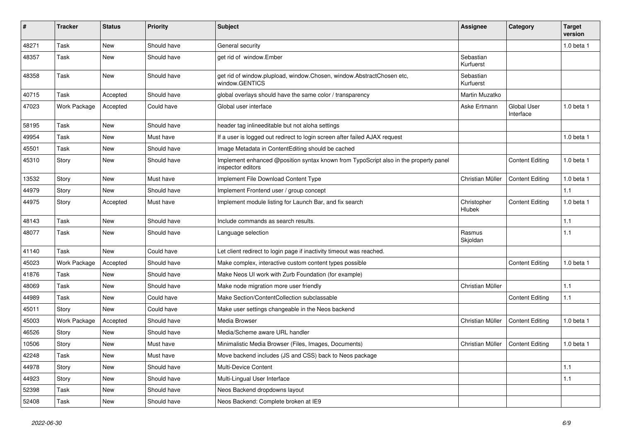| $\#$  | <b>Tracker</b>      | <b>Status</b> | <b>Priority</b> | <b>Subject</b>                                                                                            | <b>Assignee</b>              | Category                        | <b>Target</b><br>version |
|-------|---------------------|---------------|-----------------|-----------------------------------------------------------------------------------------------------------|------------------------------|---------------------------------|--------------------------|
| 48271 | Task                | New           | Should have     | General security                                                                                          |                              |                                 | 1.0 beta 1               |
| 48357 | Task                | <b>New</b>    | Should have     | get rid of window.Ember                                                                                   | Sebastian<br>Kurfuerst       |                                 |                          |
| 48358 | Task                | New           | Should have     | get rid of window.plupload, window.Chosen, window.AbstractChosen etc,<br>window.GENTICS                   | Sebastian<br>Kurfuerst       |                                 |                          |
| 40715 | Task                | Accepted      | Should have     | global overlays should have the same color / transparency                                                 | Martin Muzatko               |                                 |                          |
| 47023 | <b>Work Package</b> | Accepted      | Could have      | Global user interface                                                                                     | Aske Ertmann                 | <b>Global User</b><br>Interface | $1.0$ beta $1$           |
| 58195 | Task                | <b>New</b>    | Should have     | header tag inlineeditable but not aloha settings                                                          |                              |                                 |                          |
| 49954 | Task                | <b>New</b>    | Must have       | If a user is logged out redirect to login screen after failed AJAX request                                |                              |                                 | $1.0$ beta $1$           |
| 45501 | Task                | <b>New</b>    | Should have     | Image Metadata in ContentEditing should be cached                                                         |                              |                                 |                          |
| 45310 | Story               | <b>New</b>    | Should have     | Implement enhanced @position syntax known from TypoScript also in the property panel<br>inspector editors |                              | <b>Content Editing</b>          | $1.0$ beta $1$           |
| 13532 | Story               | <b>New</b>    | Must have       | Implement File Download Content Type                                                                      | Christian Müller             | <b>Content Editing</b>          | 1.0 beta 1               |
| 44979 | Story               | New           | Should have     | Implement Frontend user / group concept                                                                   |                              |                                 | 1.1                      |
| 44975 | Story               | Accepted      | Must have       | Implement module listing for Launch Bar, and fix search                                                   | Christopher<br><b>Hlubek</b> | <b>Content Editing</b>          | 1.0 beta 1               |
| 48143 | Task                | <b>New</b>    | Should have     | Include commands as search results.                                                                       |                              |                                 | $1.1$                    |
| 48077 | Task                | <b>New</b>    | Should have     | Language selection                                                                                        | Rasmus<br>Skjoldan           |                                 | $1.1$                    |
| 41140 | Task                | New           | Could have      | Let client redirect to login page if inactivity timeout was reached.                                      |                              |                                 |                          |
| 45023 | Work Package        | Accepted      | Should have     | Make complex, interactive custom content types possible                                                   |                              | <b>Content Editing</b>          | $1.0$ beta $1$           |
| 41876 | Task                | New           | Should have     | Make Neos UI work with Zurb Foundation (for example)                                                      |                              |                                 |                          |
| 48069 | Task                | <b>New</b>    | Should have     | Make node migration more user friendly                                                                    | Christian Müller             |                                 | $1.1$                    |
| 44989 | Task                | <b>New</b>    | Could have      | Make Section/ContentCollection subclassable                                                               |                              | <b>Content Editing</b>          | 1.1                      |
| 45011 | Story               | <b>New</b>    | Could have      | Make user settings changeable in the Neos backend                                                         |                              |                                 |                          |
| 45003 | Work Package        | Accepted      | Should have     | Media Browser                                                                                             | Christian Müller             | <b>Content Editing</b>          | $1.0$ beta $1$           |
| 46526 | Story               | New           | Should have     | Media/Scheme aware URL handler                                                                            |                              |                                 |                          |
| 10506 | Story               | <b>New</b>    | Must have       | Minimalistic Media Browser (Files, Images, Documents)                                                     | Christian Müller             | <b>Content Editing</b>          | 1.0 beta 1               |
| 42248 | Task                | New           | Must have       | Move backend includes (JS and CSS) back to Neos package                                                   |                              |                                 |                          |
| 44978 | Story               | New           | Should have     | Multi-Device Content                                                                                      |                              |                                 | 1.1                      |
| 44923 | Story               | New           | Should have     | Multi-Lingual User Interface                                                                              |                              |                                 | 1.1                      |
| 52398 | Task                | New           | Should have     | Neos Backend dropdowns layout                                                                             |                              |                                 |                          |
| 52408 | Task                | New           | Should have     | Neos Backend: Complete broken at IE9                                                                      |                              |                                 |                          |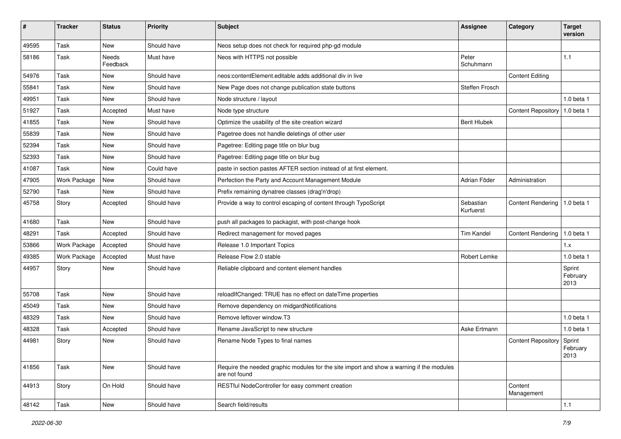| $\pmb{\#}$ | <b>Tracker</b> | <b>Status</b>     | <b>Priority</b> | <b>Subject</b>                                                                                            | <b>Assignee</b>        | Category                  | <b>Target</b><br>version   |
|------------|----------------|-------------------|-----------------|-----------------------------------------------------------------------------------------------------------|------------------------|---------------------------|----------------------------|
| 49595      | Task           | <b>New</b>        | Should have     | Neos setup does not check for required php-gd module                                                      |                        |                           |                            |
| 58186      | Task           | Needs<br>Feedback | Must have       | Neos with HTTPS not possible                                                                              | Peter<br>Schuhmann     |                           | 1.1                        |
| 54976      | Task           | <b>New</b>        | Should have     | neos: content Element, editable adds additional div in live                                               |                        | <b>Content Editing</b>    |                            |
| 55841      | Task           | New               | Should have     | New Page does not change publication state buttons                                                        | Steffen Frosch         |                           |                            |
| 49951      | Task           | <b>New</b>        | Should have     | Node structure / layout                                                                                   |                        |                           | 1.0 beta 1                 |
| 51927      | Task           | Accepted          | Must have       | Node type structure                                                                                       |                        | <b>Content Repository</b> | 1.0 beta 1                 |
| 41855      | Task           | New               | Should have     | Optimize the usability of the site creation wizard                                                        | <b>Berit Hlubek</b>    |                           |                            |
| 55839      | Task           | <b>New</b>        | Should have     | Pagetree does not handle deletings of other user                                                          |                        |                           |                            |
| 52394      | Task           | <b>New</b>        | Should have     | Pagetree: Editing page title on blur bug                                                                  |                        |                           |                            |
| 52393      | Task           | <b>New</b>        | Should have     | Pagetree: Editing page title on blur bug                                                                  |                        |                           |                            |
| 41087      | Task           | New               | Could have      | paste in section pastes AFTER section instead of at first element.                                        |                        |                           |                            |
| 47905      | Work Package   | <b>New</b>        | Should have     | Perfection the Party and Account Management Module                                                        | Adrian Föder           | Administration            |                            |
| 52790      | Task           | <b>New</b>        | Should have     | Prefix remaining dynatree classes (drag'n'drop)                                                           |                        |                           |                            |
| 45758      | Story          | Accepted          | Should have     | Provide a way to control escaping of content through TypoScript                                           | Sebastian<br>Kurfuerst | <b>Content Rendering</b>  | 1.0 beta 1                 |
| 41680      | Task           | <b>New</b>        | Should have     | push all packages to packagist, with post-change hook                                                     |                        |                           |                            |
| 48291      | Task           | Accepted          | Should have     | Redirect management for moved pages                                                                       | <b>Tim Kandel</b>      | <b>Content Rendering</b>  | 1.0 beta 1                 |
| 53866      | Work Package   | Accepted          | Should have     | Release 1.0 Important Topics                                                                              |                        |                           | 1.x                        |
| 49385      | Work Package   | Accepted          | Must have       | Release Flow 2.0 stable                                                                                   | Robert Lemke           |                           | 1.0 beta 1                 |
| 44957      | Story          | <b>New</b>        | Should have     | Reliable clipboard and content element handles                                                            |                        |                           | Sprint<br>February<br>2013 |
| 55708      | Task           | <b>New</b>        | Should have     | reloadIfChanged: TRUE has no effect on dateTime properties                                                |                        |                           |                            |
| 45049      | Task           | <b>New</b>        | Should have     | Remove dependency on midgardNotifications                                                                 |                        |                           |                            |
| 48329      | Task           | New               | Should have     | Remove leftover window.T3                                                                                 |                        |                           | 1.0 beta 1                 |
| 48328      | Task           | Accepted          | Should have     | Rename JavaScript to new structure                                                                        | Aske Ertmann           |                           | $1.0$ beta $1$             |
| 44981      | Story          | New               | Should have     | Rename Node Types to final names                                                                          |                        | <b>Content Repository</b> | Sprint<br>February<br>2013 |
| 41856      | Task           | New               | Should have     | Require the needed graphic modules for the site import and show a warning if the modules<br>are not found |                        |                           |                            |
| 44913      | Story          | On Hold           | Should have     | RESTful NodeController for easy comment creation                                                          |                        | Content<br>Management     |                            |
| 48142      | Task           | New               | Should have     | Search field/results                                                                                      |                        |                           | 1.1                        |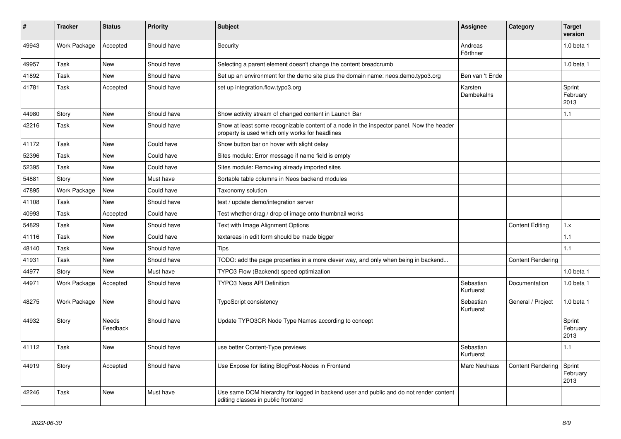| #     | <b>Tracker</b> | <b>Status</b>     | <b>Priority</b> | <b>Subject</b>                                                                                                                              | Assignee               | Category                 | <b>Target</b><br>version   |
|-------|----------------|-------------------|-----------------|---------------------------------------------------------------------------------------------------------------------------------------------|------------------------|--------------------------|----------------------------|
| 49943 | Work Package   | Accepted          | Should have     | Security                                                                                                                                    | Andreas<br>Förthner    |                          | 1.0 beta 1                 |
| 49957 | Task           | New               | Should have     | Selecting a parent element doesn't change the content breadcrumb                                                                            |                        |                          | 1.0 beta 1                 |
| 41892 | Task           | <b>New</b>        | Should have     | Set up an environment for the demo site plus the domain name: neos.demo.typo3.org                                                           | Ben van 't Ende        |                          |                            |
| 41781 | Task           | Accepted          | Should have     | set up integration.flow.typo3.org                                                                                                           | Karsten<br>Dambekalns  |                          | Sprint<br>February<br>2013 |
| 44980 | Story          | <b>New</b>        | Should have     | Show activity stream of changed content in Launch Bar                                                                                       |                        |                          | 1.1                        |
| 42216 | Task           | <b>New</b>        | Should have     | Show at least some recognizable content of a node in the inspector panel. Now the header<br>property is used which only works for headlines |                        |                          |                            |
| 41172 | Task           | <b>New</b>        | Could have      | Show button bar on hover with slight delay                                                                                                  |                        |                          |                            |
| 52396 | Task           | <b>New</b>        | Could have      | Sites module: Error message if name field is empty                                                                                          |                        |                          |                            |
| 52395 | Task           | <b>New</b>        | Could have      | Sites module: Removing already imported sites                                                                                               |                        |                          |                            |
| 54881 | Story          | <b>New</b>        | Must have       | Sortable table columns in Neos backend modules                                                                                              |                        |                          |                            |
| 47895 | Work Package   | <b>New</b>        | Could have      | Taxonomy solution                                                                                                                           |                        |                          |                            |
| 41108 | Task           | <b>New</b>        | Should have     | test / update demo/integration server                                                                                                       |                        |                          |                            |
| 40993 | Task           | Accepted          | Could have      | Test whether drag / drop of image onto thumbnail works                                                                                      |                        |                          |                            |
| 54829 | Task           | <b>New</b>        | Should have     | Text with Image Alignment Options                                                                                                           |                        | <b>Content Editing</b>   | 1.x                        |
| 41116 | Task           | New               | Could have      | textareas in edit form should be made bigger                                                                                                |                        |                          | 1.1                        |
| 48140 | Task           | New               | Should have     | Tips                                                                                                                                        |                        |                          | 1.1                        |
| 41931 | Task           | <b>New</b>        | Should have     | TODO: add the page properties in a more clever way, and only when being in backend                                                          |                        | <b>Content Rendering</b> |                            |
| 44977 | Story          | <b>New</b>        | Must have       | TYPO3 Flow (Backend) speed optimization                                                                                                     |                        |                          | 1.0 beta 1                 |
| 44971 | Work Package   | Accepted          | Should have     | <b>TYPO3 Neos API Definition</b>                                                                                                            | Sebastian<br>Kurfuerst | Documentation            | $1.0$ beta $1$             |
| 48275 | Work Package   | <b>New</b>        | Should have     | <b>TypoScript consistency</b>                                                                                                               | Sebastian<br>Kurfuerst | General / Project        | 1.0 beta 1                 |
| 44932 | Story          | Needs<br>Feedback | Should have     | Update TYPO3CR Node Type Names according to concept                                                                                         |                        |                          | Sprint<br>February<br>2013 |
| 41112 | Task           | <b>New</b>        | Should have     | use better Content-Type previews                                                                                                            | Sebastian<br>Kurfuerst |                          | 1.1                        |
| 44919 | Story          | Accepted          | Should have     | Use Expose for listing BlogPost-Nodes in Frontend                                                                                           | Marc Neuhaus           | <b>Content Rendering</b> | Sprint<br>February<br>2013 |
| 42246 | Task           | <b>New</b>        | Must have       | Use same DOM hierarchy for logged in backend user and public and do not render content<br>editing classes in public frontend                |                        |                          |                            |